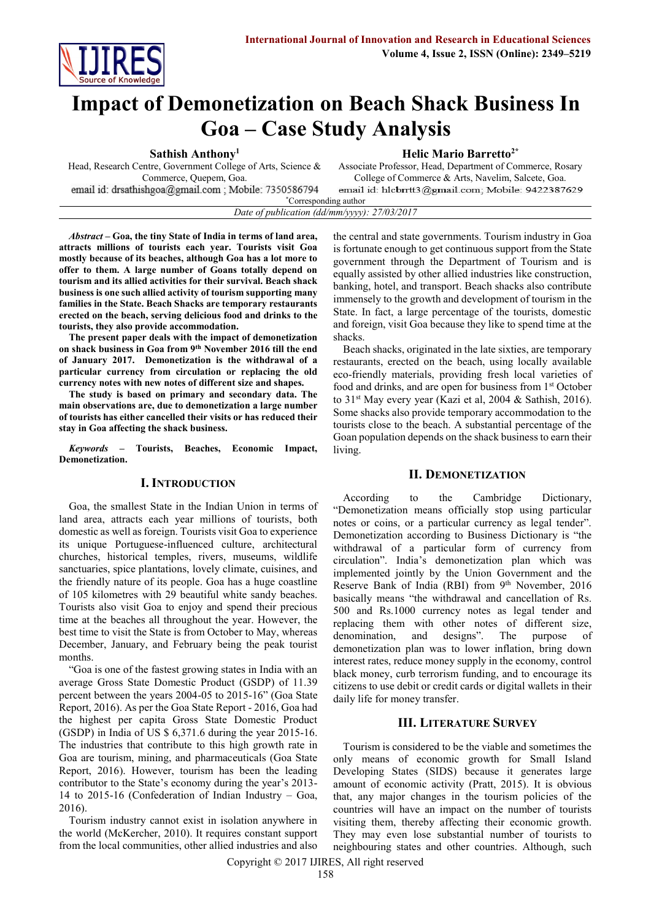

# **Impact of Demonetization on Beach Shack Business In Goa – Case Study Analysis**

Head, Research Centre, Government College of Arts, Science & Commerce, Quepem, Goa. email id: drsathishgoa@gmail.com ; Mobile: 7350586794

**Sathish Anthony<sup>1</sup> Helic Mario Barretto2\***

Associate Professor, Head, Department of Commerce, Rosary College of Commerce & Arts, Navelim, Salcete, Goa. email id: hlcbrrtt3@gmail.com; Mobile: 9422387629

\*Corresponding author

*Date of publication (dd/mm/yyyy): 27/03/2017*

*Abstract* **– Goa, the tiny State of India in terms of land area, attracts millions of tourists each year. Tourists visit Goa mostly because of its beaches, although Goa has a lot more to offer to them. A large number of Goans totally depend on tourism and its allied activities for their survival. Beach shack business is one such allied activity of tourism supporting many families in the State. Beach Shacks are temporary restaurants erected on the beach, serving delicious food and drinks to the tourists, they also provide accommodation.** 

**The present paper deals with the impact of demonetization on shack business in Goa from 9 th November 2016 till the end of January 2017. Demonetization is the withdrawal of a particular currency from circulation or replacing the old currency notes with new notes of different size and shapes.** 

**The study is based on primary and secondary data. The main observations are, due to demonetization a large number of tourists has either cancelled their visits or has reduced their stay in Goa affecting the shack business.**

*Keywords* **– Tourists, Beaches, Economic Impact, Demonetization.**

# **I. INTRODUCTION**

Goa, the smallest State in the Indian Union in terms of land area, attracts each year millions of tourists, both domestic as well as foreign. Tourists visit Goa to experience its unique Portuguese-influenced culture, architectural churches, historical temples, rivers, museums, wildlife sanctuaries, spice plantations, lovely climate, cuisines, and the friendly nature of its people. Goa has a huge coastline of 105 kilometres with 29 beautiful white sandy beaches. Tourists also visit Goa to enjoy and spend their precious time at the beaches all throughout the year. However, the best time to visit the State is from October to May, whereas December, January, and February being the peak tourist months.

"Goa is one of the fastest growing states in India with an average Gross State Domestic Product (GSDP) of 11.39 percent between the years 2004-05 to 2015-16" (Goa State Report, 2016). As per the Goa State Report - 2016, Goa had the highest per capita Gross State Domestic Product (GSDP) in India of US \$ 6,371.6 during the year 2015-16. The industries that contribute to this high growth rate in Goa are tourism, mining, and pharmaceuticals (Goa State Report, 2016). However, tourism has been the leading contributor to the State's economy during the year's 2013- 14 to 2015-16 (Confederation of Indian Industry – Goa, 2016).

Tourism industry cannot exist in isolation anywhere in the world (McKercher, 2010). It requires constant support from the local communities, other allied industries and also

the central and state governments. Tourism industry in Goa is fortunate enough to get continuous support from the State government through the Department of Tourism and is equally assisted by other allied industries like construction, banking, hotel, and transport. Beach shacks also contribute immensely to the growth and development of tourism in the State. In fact, a large percentage of the tourists, domestic and foreign, visit Goa because they like to spend time at the shacks.

Beach shacks, originated in the late sixties, are temporary restaurants, erected on the beach, using locally available eco-friendly materials, providing fresh local varieties of food and drinks, and are open for business from 1<sup>st</sup> October to 31<sup>st</sup> May every year (Kazi et al, 2004 & Sathish, 2016). Some shacks also provide temporary accommodation to the tourists close to the beach. A substantial percentage of the Goan population depends on the shack business to earn their living.

# **II. DEMONETIZATION**

According to the Cambridge Dictionary, "Demonetization means officially stop using particular notes or coins, or a particular currency as legal tender". Demonetization according to Business Dictionary is "the withdrawal of a particular form of currency from circulation". India's demonetization plan which was implemented jointly by the Union Government and the Reserve Bank of India (RBI) from 9<sup>th</sup> November, 2016 basically means "the withdrawal and cancellation of Rs. 500 and Rs.1000 currency notes as legal tender and replacing them with other notes of different size, denomination, and designs". The purpose of demonetization plan was to lower inflation, bring down interest rates, reduce money supply in the economy, control black money, curb terrorism funding, and to encourage its citizens to use debit or credit cards or digital wallets in their daily life for money transfer.

# **III. LITERATURE SURVEY**

Tourism is considered to be the viable and sometimes the only means of economic growth for Small Island Developing States (SIDS) because it generates large amount of economic activity (Pratt, 2015). It is obvious that, any major changes in the tourism policies of the countries will have an impact on the number of tourists visiting them, thereby affecting their economic growth. They may even lose substantial number of tourists to neighbouring states and other countries. Although, such

Copyright © 2017 IJIRES, All right reserved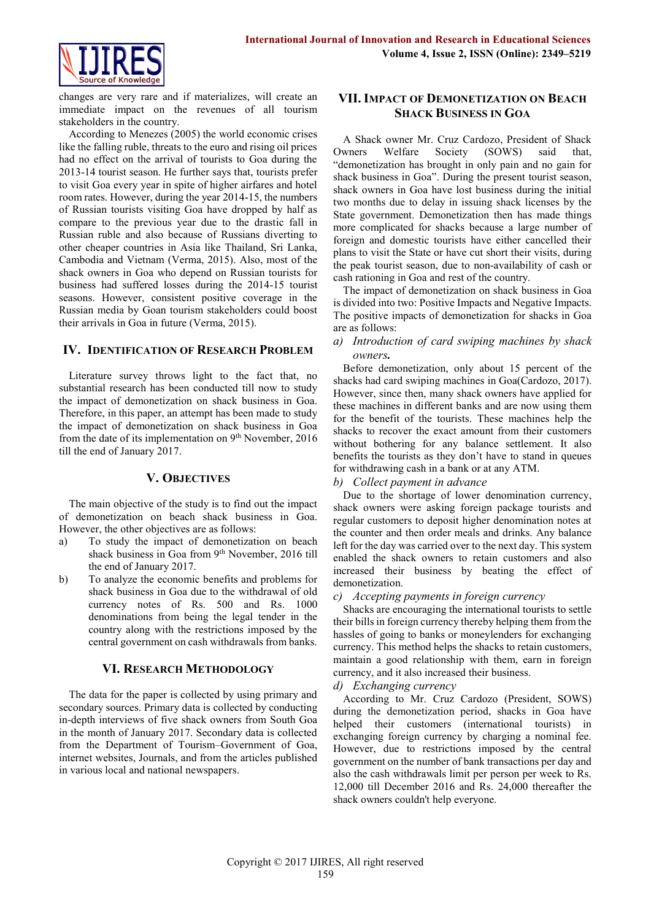

changes are very rare and if materializes, will create an immediate impact on the revenues of all tourism stakeholders in the country.

According to Menezes (2005) the world economic crises like the falling ruble, threats to the euro and rising oil prices had no effect on the arrival of tourists to Goa during the 2013-14 tourist season. He further says that, tourists prefer to visit Goa every year in spite of higher airfares and hotel room rates. However, during the year 2014-15, the numbers of Russian tourists visiting Goa have dropped by half as compare to the previous year due to the drastic fall in Russian ruble and also because of Russians diverting to other cheaper countries in Asia like Thailand, Sri Lanka, Cambodia and Vietnam (Verma, 2015). Also, most of the shack owners in Goa who depend on Russian tourists for business had suffered losses during the 2014-15 tourist seasons. However, consistent positive coverage in the Russian media by Goan tourism stakeholders could boost their arrivals in Goa in future (Verma, 2015).

# **IV. IDENTIFICATION OF RESEARCH PROBLEM**

Literature survey throws light to the fact that, no substantial research has been conducted till now to study the impact of demonetization on shack business in Goa. Therefore, in this paper, an attempt has been made to study the impact of demonetization on shack business in Goa from the date of its implementation on  $9<sup>th</sup>$  November, 2016 till the end of January 2017.

# **V. OBJECTIVES**

The main objective of the study is to find out the impact of demonetization on beach shack business in Goa. However, the other objectives are as follows:

- a) To study the impact of demonetization on beach shack business in Goa from 9<sup>th</sup> November, 2016 till the end of January 2017.
- b) To analyze the economic benefits and problems for shack business in Goa due to the withdrawal of old currency notes of Rs. 500 and Rs. 1000 denominations from being the legal tender in the country along with the restrictions imposed by the central government on cash withdrawals from banks.

# **VI. RESEARCH METHODOLOGY**

The data for the paper is collected by using primary and secondary sources. Primary data is collected by conducting in-depth interviews of five shack owners from South Goa in the month of January 2017. Secondary data is collected from the Department of Tourism–Government of Goa, internet websites, Journals, and from the articles published in various local and national newspapers.

# **VII. IMPACT OF DEMONETIZATION ON BEACH SHACK BUSINESS IN GOA**

A Shack owner Mr. Cruz Cardozo, President of Shack Owners Welfare Society (SOWS) said that, "demonetization has brought in only pain and no gain for shack business in Goa". During the present tourist season, shack owners in Goa have lost business during the initial two months due to delay in issuing shack licenses by the State government. Demonetization then has made things more complicated for shacks because a large number of foreign and domestic tourists have either cancelled their plans to visit the State or have cut short their visits, during the peak tourist season, due to non-availability of cash or cash rationing in Goa and rest of the country.

The impact of demonetization on shack business in Goa is divided into two: Positive Impacts and Negative Impacts. The positive impacts of demonetization for shacks in Goa are as follows:

#### *a) Introduction of card swiping machines by shack owners.*

Before demonetization, only about 15 percent of the shacks had card swiping machines in Goa(Cardozo, 2017). However, since then, many shack owners have applied for these machines in different banks and are now using them for the benefit of the tourists. These machines help the shacks to recover the exact amount from their customers without bothering for any balance settlement. It also benefits the tourists as they don't have to stand in queues for withdrawing cash in a bank or at any ATM.

*b) Collect payment in advance*

Due to the shortage of lower denomination currency, shack owners were asking foreign package tourists and regular customers to deposit higher denomination notes at the counter and then order meals and drinks. Any balance left for the day was carried over to the next day. This system enabled the shack owners to retain customers and also increased their business by beating the effect of demonetization.

# *c) Accepting payments in foreign currency*

Shacks are encouraging the international tourists to settle their bills in foreign currency thereby helping them from the hassles of going to banks or moneylenders for exchanging currency. This method helps the shacks to retain customers, maintain a good relationship with them, earn in foreign currency, and it also increased their business.

# *d) Exchanging currency*

According to Mr. Cruz Cardozo (President, SOWS) during the demonetization period, shacks in Goa have helped their customers (international tourists) in exchanging foreign currency by charging a nominal fee. However, due to restrictions imposed by the central government on the number of bank transactions per day and also the cash withdrawals limit per person per week to Rs. 12,000 till December 2016 and Rs. 24,000 thereafter the shack owners couldn't help everyone.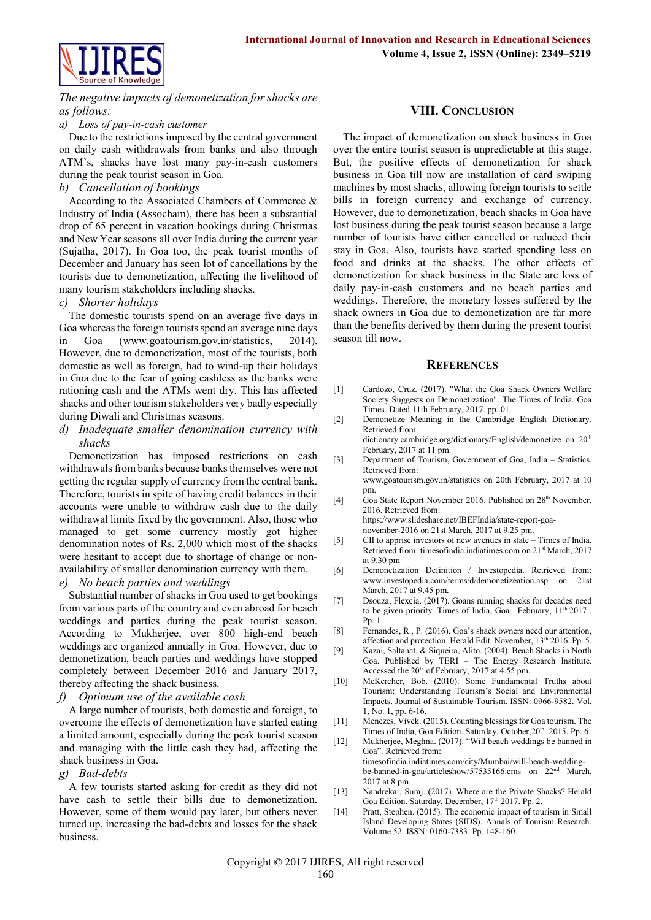

#### *The negative impacts of demonetization for shacks are as follows:*

#### *a) Loss of pay-in-cash customer*

Due to the restrictions imposed by the central government on daily cash withdrawals from banks and also through ATM's, shacks have lost many pay-in-cash customers during the peak tourist season in Goa.

#### *b) Cancellation of bookings*

According to the Associated Chambers of Commerce & Industry of India (Assocham), there has been a substantial drop of 65 percent in vacation bookings during Christmas and New Year seasons all over India during the current year (Sujatha, 2017). In Goa too, the peak tourist months of December and January has seen lot of cancellations by the tourists due to demonetization, affecting the livelihood of many tourism stakeholders including shacks.

#### *c) Shorter holidays*

The domestic tourists spend on an average five days in Goa whereas the foreign tourists spend an average nine days in Goa [\(www.goatourism.gov.in/statistics,](http://www.goatourism.gov.in/statistics) 2014). However, due to demonetization, most of the tourists, both domestic as well as foreign, had to wind-up their holidays in Goa due to the fear of going cashless as the banks were rationing cash and the ATMs went dry. This has affected shacks and other tourism stakeholders very badly especially during Diwali and Christmas seasons.

*d) Inadequate smaller denomination currency with shacks*

Demonetization has imposed restrictions on cash withdrawals from banks because banks themselves were not getting the regular supply of currency from the central bank. Therefore, tourists in spite of having credit balances in their accounts were unable to withdraw cash due to the daily withdrawal limits fixed by the government. Also, those who managed to get some currency mostly got higher denomination notes of Rs. 2,000 which most of the shacks were hesitant to accept due to shortage of change or nonavailability of smaller denomination currency with them.

#### *e) No beach parties and weddings*

Substantial number of shacks in Goa used to get bookings from various parts of the country and even abroad for beach weddings and parties during the peak tourist season. According to Mukherjee, over 800 high-end beach weddings are organized annually in Goa. However, due to demonetization, beach parties and weddings have stopped completely between December 2016 and January 2017, thereby affecting the shack business.

#### *f) Optimum use of the available cash*

A large number of tourists, both domestic and foreign, to overcome the effects of demonetization have started eating a limited amount, especially during the peak tourist season and managing with the little cash they had, affecting the shack business in Goa.

#### *g) Bad-debts*

A few tourists started asking for credit as they did not have cash to settle their bills due to demonetization. However, some of them would pay later, but others never turned up, increasing the bad-debts and losses for the shack business.

#### **VIII. CONCLUSION**

The impact of demonetization on shack business in Goa over the entire tourist season is unpredictable at this stage. But, the positive effects of demonetization for shack business in Goa till now are installation of card swiping machines by most shacks, allowing foreign tourists to settle bills in foreign currency and exchange of currency. However, due to demonetization, beach shacks in Goa have lost business during the peak tourist season because a large number of tourists have either cancelled or reduced their stay in Goa. Also, tourists have started spending less on food and drinks at the shacks. The other effects of demonetization for shack business in the State are loss of daily pay-in-cash customers and no beach parties and weddings. Therefore, the monetary losses suffered by the shack owners in Goa due to demonetization are far more than the benefits derived by them during the present tourist season till now.

#### **REFERENCES**

- [1] Cardozo, Cruz. (2017). "What the Goa Shack Owners Welfare Society Suggests on Demonetization". The Times of India. Goa Times. Dated 11th February, 2017. pp. 01.
- [2] Demonetize Meaning in the Cambridge English Dictionary. Retrieved from:
- dictionary.cambridge.org/dictionary/English/demonetize on 20<sup>th</sup> February, 2017 at 11 pm.
- [3] Department of Tourism, Government of Goa, India Statistics. Retrieved from:
	- [www.goatourism.gov.in/statistics](http://www.goatourism.gov.in/statistics) on 20th February, 2017 at 10 pm.
- [4] Goa State Report November 2016. Published on 28<sup>th</sup> November, 2016. Retrieved from: [https://www.slideshare.net/IBEFIndia/state-report-goa-](https://www.slideshare.net/IBEFIndia/state-report-goa-november-2016%20on%2021st%20March,%202017%20at%209.25)

[november-2016 on 21st March, 2017 at 9.25](https://www.slideshare.net/IBEFIndia/state-report-goa-november-2016%20on%2021st%20March,%202017%20at%209.25) pm.

- [5] CII to apprise investors of new avenues in state Times of India. Retrieved from: timesofindia.indiatimes.com on 21<sup>st</sup> March, 2017 at 9.30 pm
- [6] Demonetization Definition / Investopedia. Retrieved from: [www.investopedia.com/terms/d/demonetizeation.asp](http://www.investopedia.com/terms/d/demonetizeation.asp) on 21st March, 2017 at 9.45 pm.
- [7] Dsouza, Flexcia. (2017). Goans running shacks for decades need to be given priority. Times of India, Goa. February,  $11<sup>th</sup> 2017$ . Pp. 1.
- [8] Fernandes, R., P. (2016). Goa's shack owners need our attention, affection and protection. Herald Edit. November, 13<sup>th</sup> 2016. Pp. 5.
- [9] Kazai, Saltanat. & Siqueira, Alito. (2004). Beach Shacks in North Goa. Published by TERI – The Energy Research Institute. Accessed the 20<sup>th</sup> of February, 2017 at 4.55 pm.
- [10] McKercher, Bob. (2010). Some Fundamental Truths about Tourism: Understanding Tourism's Social and Environmental Impacts. Journal of Sustainable Tourism. ISSN: 0966-9582. Vol. 1, No. 1, pp. 6-16.
- [11] Menezes, Vivek. (2015). Counting blessings for Goa tourism. The Times of India, Goa Edition. Saturday, October, 20<sup>th</sup> 2015. Pp. 6.
- [12] Mukherjee, Meghna. (2017). "Will beach weddings be banned in Goa". Retrieved from:
- timesofindia.indiatimes.com/city/Mumbai/will-beach-weddingbe-banned-in-goa/articleshow/57535166.cms on 22<sup>nd</sup> March, 2017 at 8 pm.
- [13] Nandrekar, Suraj. (2017). Where are the Private Shacks? Herald Goa Edition. Saturday, December, 17<sup>th</sup> 2017. Pp. 2.
- [14] Pratt, Stephen. (2015). The economic impact of tourism in Small Island Developing States (SIDS). Annals of Tourism Research. Volume 52. ISSN: 0160-7383. Pp. 148-160.